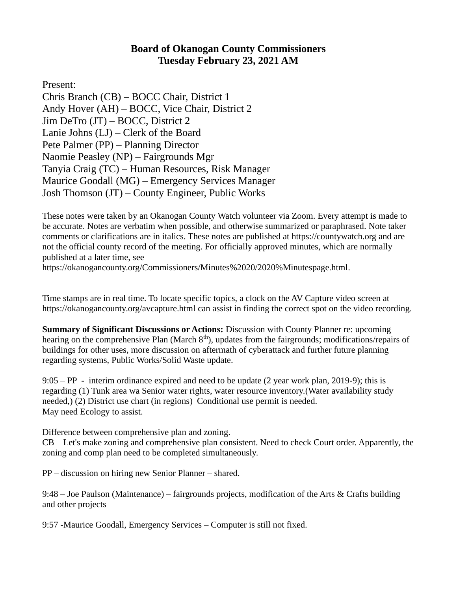## **Board of Okanogan County Commissioners Tuesday February 23, 2021 AM**

Present:

Chris Branch (CB) – BOCC Chair, District 1 Andy Hover (AH) – BOCC, Vice Chair, District 2 Jim DeTro (JT) – BOCC, District 2 Lanie Johns (LJ) – Clerk of the Board Pete Palmer (PP) – Planning Director Naomie Peasley (NP) – Fairgrounds Mgr Tanyia Craig (TC) – Human Resources, Risk Manager Maurice Goodall (MG) – Emergency Services Manager Josh Thomson (JT) – County Engineer, Public Works

These notes were taken by an Okanogan County Watch volunteer via Zoom. Every attempt is made to be accurate. Notes are verbatim when possible, and otherwise summarized or paraphrased. Note taker comments or clarifications are in italics. These notes are published at [https://countywatch.org](https://countywatch.org/) and are not the official county record of the meeting. For officially approved minutes, which are normally published at a later time, see

[https://okanogancounty.org/Commissioners/Minutes%2020/2020%Minutespage.html.](https://okanogancounty.org/Commissioners/Minutes%2020/2020%25Minutespage.html)

Time stamps are in real time. To locate specific topics, a clock on the AV Capture video screen at <https://okanogancounty.org/avcapture.html> can assist in finding the correct spot on the video recording.

**Summary of Significant Discussions or Actions:** Discussion with County Planner re: upcoming hearing on the comprehensive Plan (March 8<sup>th</sup>), updates from the fairgrounds; modifications/repairs of buildings for other uses, more discussion on aftermath of cyberattack and further future planning regarding systems, Public Works/Solid Waste update.

9:05 – PP - interim ordinance expired and need to be update (2 year work plan, 2019-9); this is regarding (1) Tunk area wa Senior water rights, water resource inventory.(Water availability study needed,) (2) District use chart (in regions) Conditional use permit is needed. May need Ecology to assist.

Difference between comprehensive plan and zoning.

CB – Let's make zoning and comprehensive plan consistent. Need to check Court order. Apparently, the zoning and comp plan need to be completed simultaneously.

PP – discussion on hiring new Senior Planner – shared.

9:48 – Joe Paulson (Maintenance) – fairgrounds projects, modification of the Arts & Crafts building and other projects

9:57 -Maurice Goodall, Emergency Services – Computer is still not fixed.